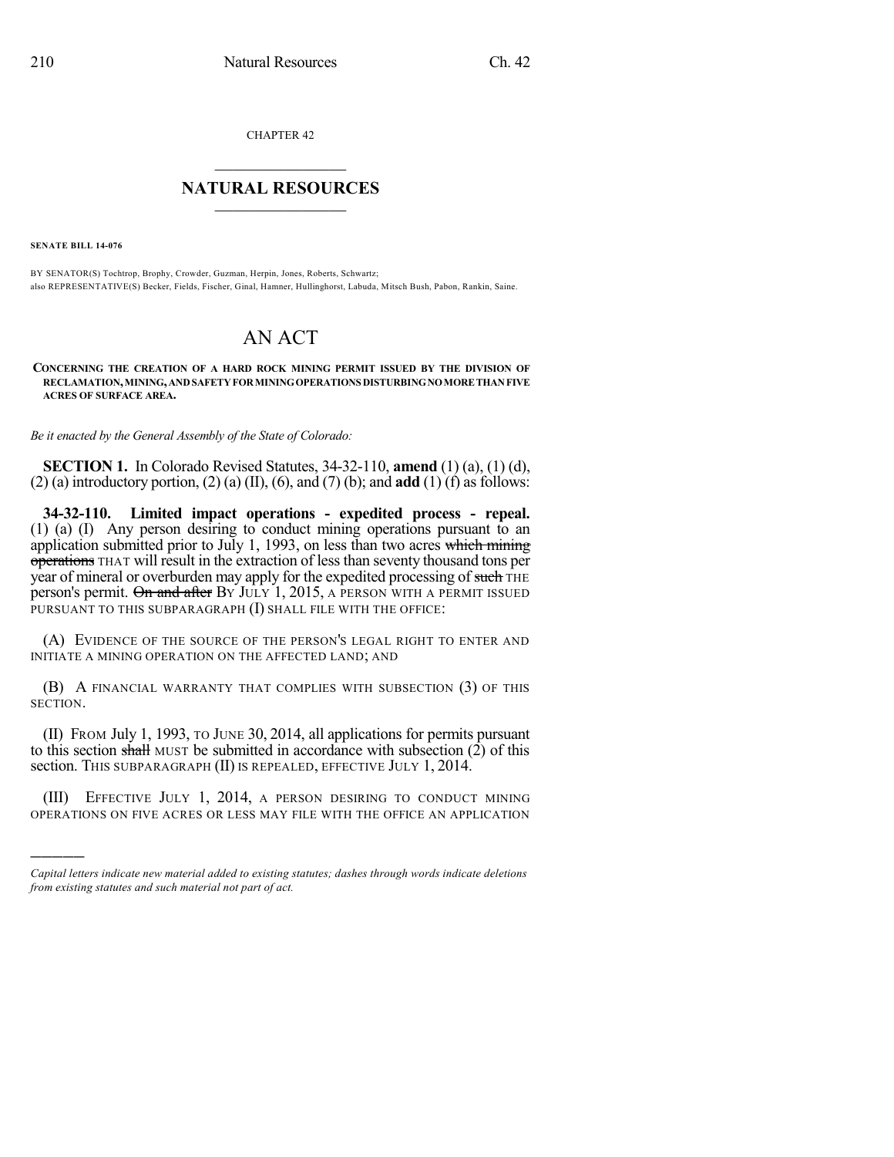CHAPTER 42

## $\overline{\phantom{a}}$  . The set of the set of the set of the set of the set of the set of the set of the set of the set of the set of the set of the set of the set of the set of the set of the set of the set of the set of the set o **NATURAL RESOURCES**  $\frac{1}{\sqrt{2}}$  , where  $\frac{1}{\sqrt{2}}$  ,  $\frac{1}{\sqrt{2}}$  ,  $\frac{1}{\sqrt{2}}$

**SENATE BILL 14-076**

)))))

BY SENATOR(S) Tochtrop, Brophy, Crowder, Guzman, Herpin, Jones, Roberts, Schwartz; also REPRESENTATIVE(S) Becker, Fields, Fischer, Ginal, Hamner, Hullinghorst, Labuda, Mitsch Bush, Pabon, Rankin, Saine.

## AN ACT

**CONCERNING THE CREATION OF A HARD ROCK MINING PERMIT ISSUED BY THE DIVISION OF RECLAMATION,MINING,ANDSAFETYFORMININGOPERATIONS DISTURBINGNOMORETHANFIVE ACRES OF SURFACE AREA.**

*Be it enacted by the General Assembly of the State of Colorado:*

**SECTION 1.** In Colorado Revised Statutes, 34-32-110, **amend** (1) (a), (1) (d), (2) (a) introductory portion, (2) (a) (II), (6), and (7) (b); and **add** (1) (f) as follows:

**34-32-110. Limited impact operations - expedited process - repeal.** (1) (a) (I) Any person desiring to conduct mining operations pursuant to an application submitted prior to July 1, 1993, on less than two acres which mining operations THAT will result in the extraction of less than seventy thousand tons per year of mineral or overburden may apply for the expedited processing of such THE person's permit. On and after By JULY 1, 2015, A PERSON WITH A PERMIT ISSUED PURSUANT TO THIS SUBPARAGRAPH (I) SHALL FILE WITH THE OFFICE:

(A) EVIDENCE OF THE SOURCE OF THE PERSON'S LEGAL RIGHT TO ENTER AND INITIATE A MINING OPERATION ON THE AFFECTED LAND; AND

(B) A FINANCIAL WARRANTY THAT COMPLIES WITH SUBSECTION (3) OF THIS SECTION.

(II) FROM July 1, 1993, TO JUNE 30, 2014, all applications for permits pursuant to this section shall MUST be submitted in accordance with subsection  $(2)$  of this section. This subparagraph (II) is repealed, effective July 1, 2014.

(III) EFFECTIVE JULY 1, 2014, A PERSON DESIRING TO CONDUCT MINING OPERATIONS ON FIVE ACRES OR LESS MAY FILE WITH THE OFFICE AN APPLICATION

*Capital letters indicate new material added to existing statutes; dashes through words indicate deletions from existing statutes and such material not part of act.*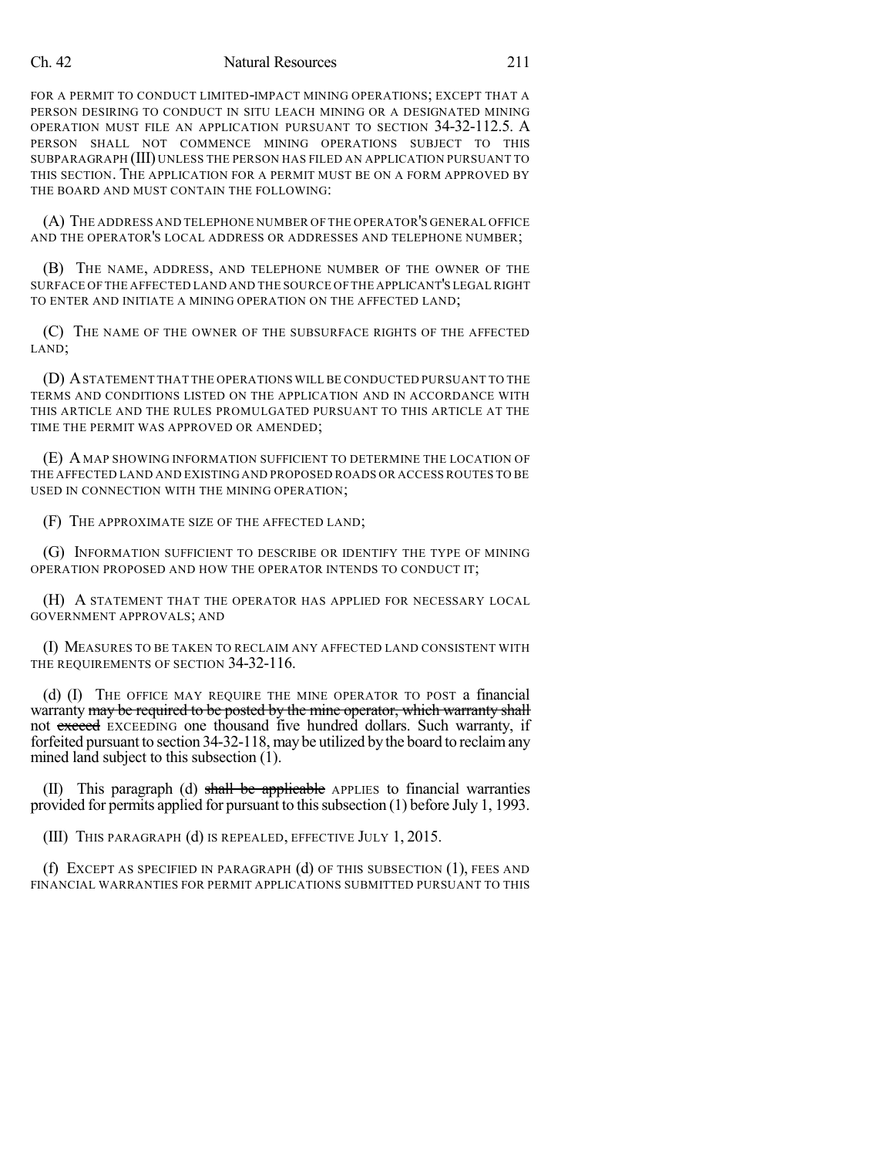## Ch. 42 Natural Resources 211

FOR A PERMIT TO CONDUCT LIMITED-IMPACT MINING OPERATIONS; EXCEPT THAT A PERSON DESIRING TO CONDUCT IN SITU LEACH MINING OR A DESIGNATED MINING OPERATION MUST FILE AN APPLICATION PURSUANT TO SECTION 34-32-112.5. A PERSON SHALL NOT COMMENCE MINING OPERATIONS SUBJECT TO THIS SUBPARAGRAPH (III) UNLESS THE PERSON HAS FILED AN APPLICATION PURSUANT TO THIS SECTION. THE APPLICATION FOR A PERMIT MUST BE ON A FORM APPROVED BY THE BOARD AND MUST CONTAIN THE FOLLOWING:

(A) THE ADDRESS AND TELEPHONE NUMBER OF THE OPERATOR'S GENERAL OFFICE AND THE OPERATOR'S LOCAL ADDRESS OR ADDRESSES AND TELEPHONE NUMBER;

(B) THE NAME, ADDRESS, AND TELEPHONE NUMBER OF THE OWNER OF THE SURFACE OF THE AFFECTED LAND AND THE SOURCE OF THE APPLICANT'S LEGAL RIGHT TO ENTER AND INITIATE A MINING OPERATION ON THE AFFECTED LAND;

(C) THE NAME OF THE OWNER OF THE SUBSURFACE RIGHTS OF THE AFFECTED LAND;

(D) ASTATEMENT THAT THE OPERATIONS WILL BE CONDUCTED PURSUANT TO THE TERMS AND CONDITIONS LISTED ON THE APPLICATION AND IN ACCORDANCE WITH THIS ARTICLE AND THE RULES PROMULGATED PURSUANT TO THIS ARTICLE AT THE TIME THE PERMIT WAS APPROVED OR AMENDED;

(E) A MAP SHOWING INFORMATION SUFFICIENT TO DETERMINE THE LOCATION OF THE AFFECTED LAND AND EXISTING AND PROPOSED ROADS OR ACCESS ROUTES TO BE USED IN CONNECTION WITH THE MINING OPERATION;

(F) THE APPROXIMATE SIZE OF THE AFFECTED LAND;

(G) INFORMATION SUFFICIENT TO DESCRIBE OR IDENTIFY THE TYPE OF MINING OPERATION PROPOSED AND HOW THE OPERATOR INTENDS TO CONDUCT IT;

(H) A STATEMENT THAT THE OPERATOR HAS APPLIED FOR NECESSARY LOCAL GOVERNMENT APPROVALS; AND

(I) MEASURES TO BE TAKEN TO RECLAIM ANY AFFECTED LAND CONSISTENT WITH THE REQUIREMENTS OF SECTION 34-32-116.

(d) (I) THE OFFICE MAY REQUIRE THE MINE OPERATOR TO POST a financial warranty may be required to be posted by the mine operator, which warranty shall not exceed EXCEEDING one thousand five hundred dollars. Such warranty, if forfeited pursuant to section 34-32-118, may be utilized by the board to reclaimany mined land subject to this subsection (1).

(II) This paragraph (d) shall be applicable APPLIES to financial warranties provided for permits applied for pursuant to thissubsection (1) before July 1, 1993.

(III) THIS PARAGRAPH (d) IS REPEALED, EFFECTIVE JULY 1, 2015.

(f) EXCEPT AS SPECIFIED IN PARAGRAPH (d) OF THIS SUBSECTION (1), FEES AND FINANCIAL WARRANTIES FOR PERMIT APPLICATIONS SUBMITTED PURSUANT TO THIS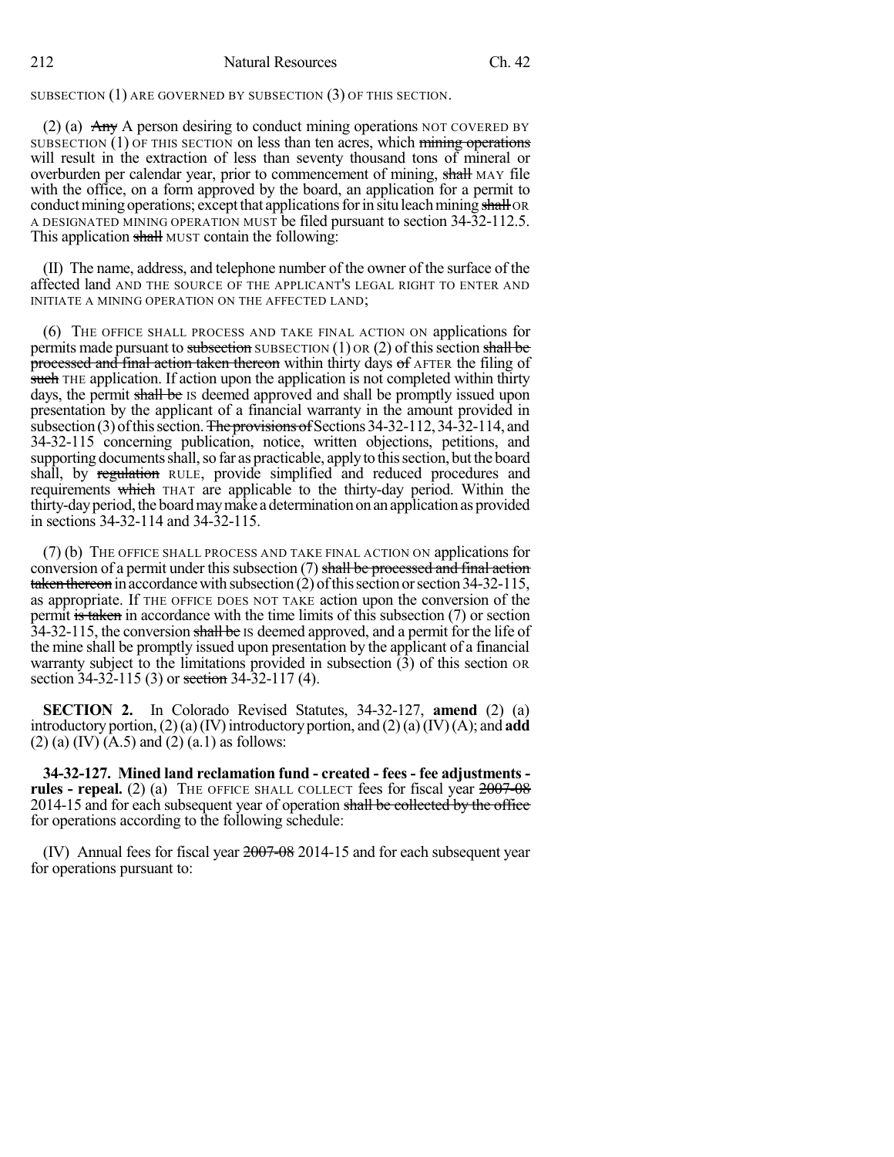212 Natural Resources Ch. 42

SUBSECTION (1) ARE GOVERNED BY SUBSECTION (3) OF THIS SECTION.

(2) (a)  $\overrightarrow{Any}$  A person desiring to conduct mining operations NOT COVERED BY SUBSECTION (1) OF THIS SECTION on less than ten acres, which mining operations will result in the extraction of less than seventy thousand tons of mineral or overburden per calendar year, prior to commencement of mining, shall MAY file with the office, on a form approved by the board, an application for a permit to conduct mining operations; except that applications for in situ leach mining shall OR A DESIGNATED MINING OPERATION MUST be filed pursuant to section 34-32-112.5. This application shall MUST contain the following:

(II) The name, address, and telephone number of the owner of the surface of the affected land AND THE SOURCE OF THE APPLICANT'S LEGAL RIGHT TO ENTER AND INITIATE A MINING OPERATION ON THE AFFECTED LAND;

(6) THE OFFICE SHALL PROCESS AND TAKE FINAL ACTION ON applications for permits made pursuant to subsection SUBSECTION (1) OR (2) of this section shall be processed and final action taken thereon within thirty days of AFTER the filing of such THE application. If action upon the application is not completed within thirty days, the permit shall be Is deemed approved and shall be promptly issued upon presentation by the applicant of a financial warranty in the amount provided in subsection (3) of this section. The provisions of Sections  $34-32-112$ ,  $34-32-114$ , and 34-32-115 concerning publication, notice, written objections, petitions, and supporting documents shall, so far as practicable, apply to this section, but the board shall, by regulation RULE, provide simplified and reduced procedures and requirements which THAT are applicable to the thirty-day period. Within the thirty-day period, the board may make a determination on an application as provided in sections 34-32-114 and 34-32-115.

(7) (b) THE OFFICE SHALL PROCESS AND TAKE FINAL ACTION ON applications for conversion of a permit under this subsection  $(7)$  shall be processed and final action taken thereon in accordance with subsection  $(2)$  of this section or section 34-32-115, as appropriate. If THE OFFICE DOES NOT TAKE action upon the conversion of the permit is taken in accordance with the time limits of this subsection (7) or section 34-32-115, the conversion shall be Is deemed approved, and a permit for the life of the mine shall be promptly issued upon presentation by the applicant of a financial warranty subject to the limitations provided in subsection (3) of this section OR section 34-32-115 (3) or <del>section</del> 34-32-117 (4).

**SECTION 2.** In Colorado Revised Statutes, 34-32-127, **amend** (2) (a) introductory portion,  $(2)(a)(IV)$  introductory portion, and  $(2)(a)(IV)(A)$ ; and **add**  $(2)$  (a) (IV)  $(A.5)$  and  $(2)$  (a.1) as follows:

**34-32-127. Mined land reclamation fund - created - fees - fee adjustments rules - repeal.** (2) (a) THE OFFICE SHALL COLLECT fees for fiscal year  $\frac{2007-08}{2007}$ 2014-15 and for each subsequent year of operation shall be collected by the office for operations according to the following schedule:

(IV) Annual fees for fiscal year 2007-08 2014-15 and for each subsequent year for operations pursuant to: